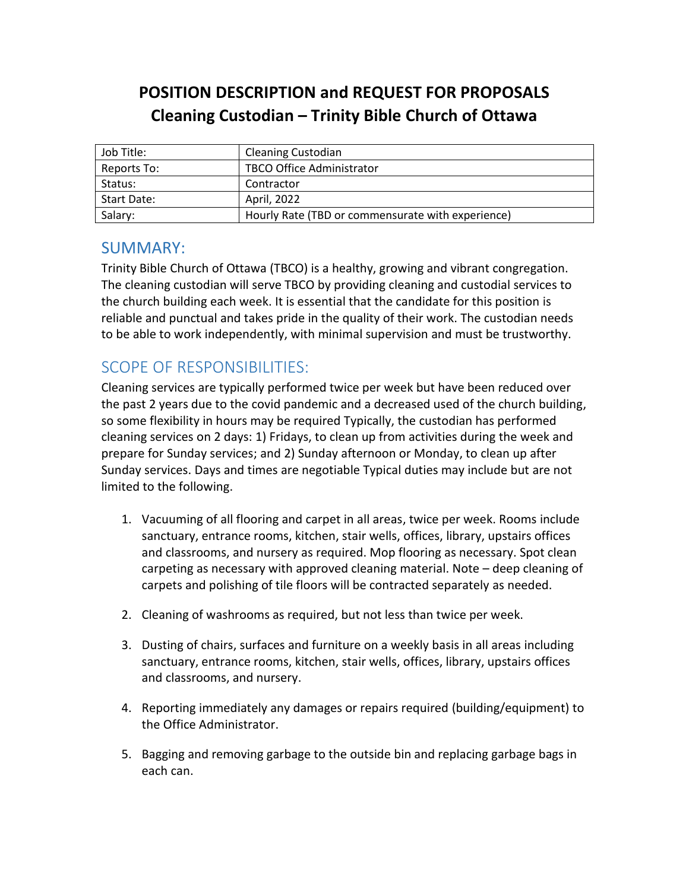## **POSITION DESCRIPTION and REQUEST FOR PROPOSALS Cleaning Custodian – Trinity Bible Church of Ottawa**

| Job Title:  | <b>Cleaning Custodian</b>                         |
|-------------|---------------------------------------------------|
| Reports To: | <b>TBCO Office Administrator</b>                  |
| Status:     | Contractor                                        |
| Start Date: | April, 2022                                       |
| Salary:     | Hourly Rate (TBD or commensurate with experience) |

## SUMMARY:

Trinity Bible Church of Ottawa (TBCO) is a healthy, growing and vibrant congregation. The cleaning custodian will serve TBCO by providing cleaning and custodial services to the church building each week. It is essential that the candidate for this position is reliable and punctual and takes pride in the quality of their work. The custodian needs to be able to work independently, with minimal supervision and must be trustworthy.

## SCOPE OF RESPONSIBILITIES:

Cleaning services are typically performed twice per week but have been reduced over the past 2 years due to the covid pandemic and a decreased used of the church building, so some flexibility in hours may be required Typically, the custodian has performed cleaning services on 2 days: 1) Fridays, to clean up from activities during the week and prepare for Sunday services; and 2) Sunday afternoon or Monday, to clean up after Sunday services. Days and times are negotiable Typical duties may include but are not limited to the following.

- 1. Vacuuming of all flooring and carpet in all areas, twice per week. Rooms include sanctuary, entrance rooms, kitchen, stair wells, offices, library, upstairs offices and classrooms, and nursery as required. Mop flooring as necessary. Spot clean carpeting as necessary with approved cleaning material. Note – deep cleaning of carpets and polishing of tile floors will be contracted separately as needed.
- 2. Cleaning of washrooms as required, but not less than twice per week.
- 3. Dusting of chairs, surfaces and furniture on a weekly basis in all areas including sanctuary, entrance rooms, kitchen, stair wells, offices, library, upstairs offices and classrooms, and nursery.
- 4. Reporting immediately any damages or repairs required (building/equipment) to the Office Administrator.
- 5. Bagging and removing garbage to the outside bin and replacing garbage bags in each can.